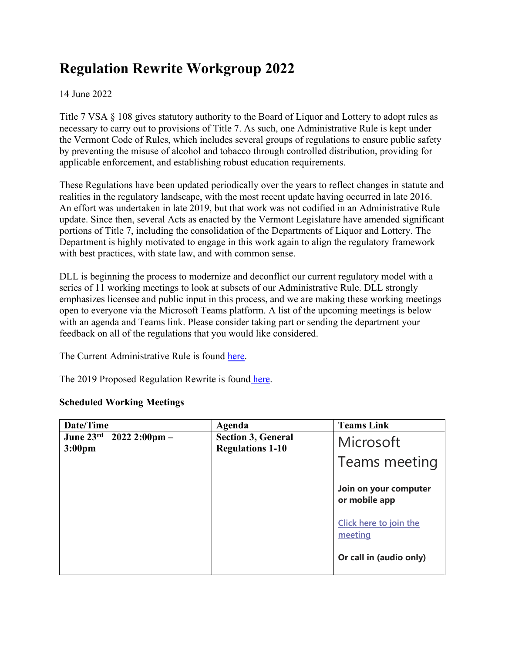## **Regulation Rewrite Workgroup 2022**

## 14 June 2022

Title 7 VSA § 108 gives statutory authority to the Board of Liquor and Lottery to adopt rules as necessary to carry out to provisions of Title 7. As such, one Administrative Rule is kept under the Vermont Code of Rules, which includes several groups of regulations to ensure public safety by preventing the misuse of alcohol and tobacco through controlled distribution, providing for applicable enforcement, and establishing robust education requirements.

These Regulations have been updated periodically over the years to reflect changes in statute and realities in the regulatory landscape, with the most recent update having occurred in late 2016. An effort was undertaken in late 2019, but that work was not codified in an Administrative Rule update. Since then, several Acts as enacted by the Vermont Legislature have amended significant portions of Title 7, including the consolidation of the Departments of Liquor and Lottery. The Department is highly motivated to engage in this work again to align the regulatory framework with best practices, with state law, and with common sense.

DLL is beginning the process to modernize and deconflict our current regulatory model with a series of 11 working meetings to look at subsets of our Administrative Rule. DLL strongly emphasizes licensee and public input in this process, and we are making these working meetings open to everyone via the Microsoft Teams platform. A list of the upcoming meetings is below with an agenda and Teams link. Please consider taking part or sending the department your feedback on all of the regulations that you would like considered.

The Current Administrative Rule is found [here.](https://advance.lexis.com/documentpage/?pdmfid=1000516&crid=e5e70555-2096-49df-98df-5e10b242ce65&nodeid=AAPAABAABAAB&nodepath=%2FROOT%2FAAP%2FAAPAAB%2FAAPAABAAB%2FAAPAABAABAAB&level=4&haschildren=&populated=false&title=26+020+001.+RULES+AND+REGULATIONS&config=00JAA3YmIxY2M5OC0zYmJjLTQ4ZjMtYjY3Yi02ODZhMTViYWUzMmEKAFBvZENhdGFsb2dfKuGXoJFNHKuKZG9OqaaI&pddocfullpath=%2Fshared%2Fdocument%2Fadministrative-codes%2Furn%3AcontentItem%3A5WS0-FPD1-FGRY-B0RJ-00008-00&ecomp=vg1_kkk&prid=49d39d30-1afe-4588-9587-b51506af0185)

The 2019 Proposed Regulation Rewrite is found [here.](https://liquorcontrol.vermont.gov/sites/dlc/files/documents/Regulations/MarkedUp_Administrative_Rule_31JAN2020.pdf)

| Date/Time                                                 | Agenda                                               | <b>Teams Link</b>                      |
|-----------------------------------------------------------|------------------------------------------------------|----------------------------------------|
| June 23rd<br>$20222:00 \text{pm} -$<br>3:00 <sub>pm</sub> | <b>Section 3, General</b><br><b>Regulations 1-10</b> | Microsoft                              |
|                                                           |                                                      | Teams meeting                          |
|                                                           |                                                      | Join on your computer<br>or mobile app |
|                                                           |                                                      | Click here to join the<br>meeting      |
|                                                           |                                                      | Or call in (audio only)                |

## **Scheduled Working Meetings**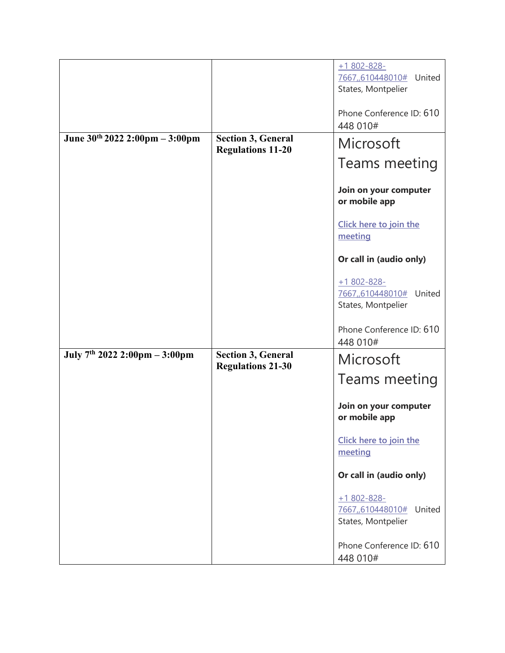|                                     |                                                       | $+1802 - 828 -$                                                    |
|-------------------------------------|-------------------------------------------------------|--------------------------------------------------------------------|
|                                     |                                                       | 7667,610448010#<br>United                                          |
|                                     |                                                       | States, Montpelier                                                 |
|                                     |                                                       |                                                                    |
|                                     |                                                       | Phone Conference ID: 610                                           |
|                                     |                                                       | 448 010#                                                           |
| June $30^{th}$ 2022 2:00pm - 3:00pm | <b>Section 3, General</b>                             |                                                                    |
|                                     | <b>Regulations 11-20</b>                              | Microsoft                                                          |
|                                     |                                                       | Teams meeting                                                      |
|                                     |                                                       |                                                                    |
|                                     |                                                       | Join on your computer<br>or mobile app                             |
|                                     |                                                       | Click here to join the<br>meeting                                  |
|                                     |                                                       | Or call in (audio only)                                            |
|                                     |                                                       | $+1802 - 828 -$<br>7667,610448010# United<br>States, Montpelier    |
|                                     |                                                       | Phone Conference ID: 610<br>448 010#                               |
| July 7th 2022 2:00pm - 3:00pm       | <b>Section 3, General</b><br><b>Regulations 21-30</b> | Microsoft                                                          |
|                                     |                                                       | Teams meeting                                                      |
|                                     |                                                       | Join on your computer<br>or mobile app                             |
|                                     |                                                       | Click here to join the<br>meeting                                  |
|                                     |                                                       | Or call in (audio only)                                            |
|                                     |                                                       | $+1802 - 828 -$<br>United<br>7667,610448010#<br>States, Montpelier |
|                                     |                                                       | Phone Conference ID: 610<br>448 010#                               |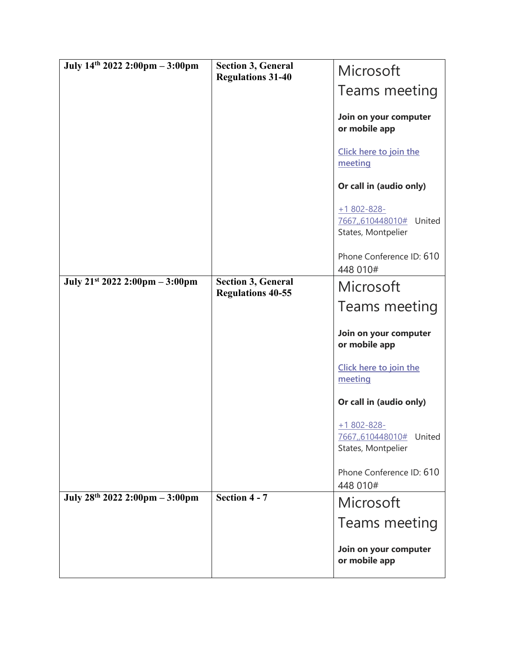| July 14th 2022 2:00pm - 3:00pm      | <b>Section 3, General</b><br><b>Regulations 31-40</b> | Microsoft                                                       |
|-------------------------------------|-------------------------------------------------------|-----------------------------------------------------------------|
|                                     |                                                       | Teams meeting                                                   |
|                                     |                                                       | Join on your computer<br>or mobile app                          |
|                                     |                                                       | Click here to join the<br>meeting                               |
|                                     |                                                       | Or call in (audio only)                                         |
|                                     |                                                       | $+1802 - 828 -$<br>7667,610448010# United<br>States, Montpelier |
|                                     |                                                       | Phone Conference ID: 610<br>448 010#                            |
| July $21^{st}$ 2022 2:00pm - 3:00pm | <b>Section 3, General</b><br><b>Regulations 40-55</b> | Microsoft                                                       |
|                                     |                                                       | Teams meeting                                                   |
|                                     |                                                       |                                                                 |
|                                     |                                                       | Join on your computer<br>or mobile app                          |
|                                     |                                                       | Click here to join the<br>meeting                               |
|                                     |                                                       | Or call in (audio only)                                         |
|                                     |                                                       | $+1802 - 828 -$<br>7667,610448010# United<br>States, Montpelier |
|                                     |                                                       | Phone Conference ID: 610<br>448 010#                            |
| July 28th 2022 2:00pm - 3:00pm      | Section 4 - 7                                         | Microsoft                                                       |
|                                     |                                                       | Teams meeting                                                   |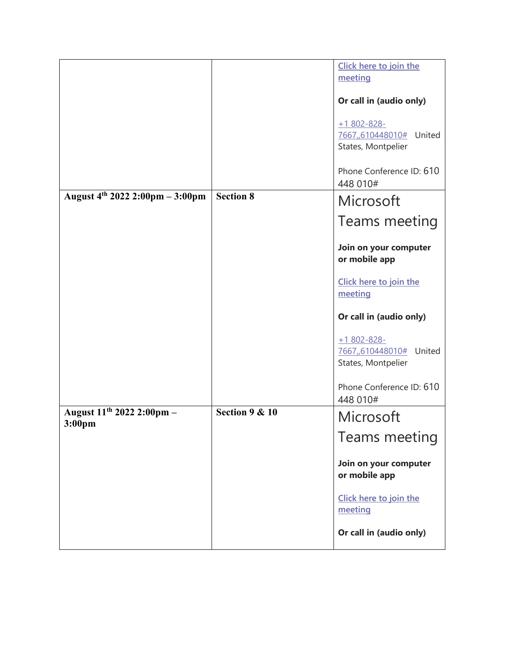|                                                           |                | Click here to join the                                          |
|-----------------------------------------------------------|----------------|-----------------------------------------------------------------|
|                                                           |                | meeting                                                         |
|                                                           |                | Or call in (audio only)                                         |
|                                                           |                | $+1802 - 828 -$                                                 |
|                                                           |                | 7667,610448010# United<br>States, Montpelier                    |
|                                                           |                | Phone Conference ID: 610                                        |
|                                                           |                | 448 010#                                                        |
| August 4th 2022 2:00pm - 3:00pm                           | Section 8      | Microsoft                                                       |
|                                                           |                | Teams meeting                                                   |
|                                                           |                | Join on your computer<br>or mobile app                          |
|                                                           |                | Click here to join the<br>meeting                               |
|                                                           |                | Or call in (audio only)                                         |
|                                                           |                | $+1802 - 828 -$<br>7667,610448010# United<br>States, Montpelier |
|                                                           |                | Phone Conference ID: 610<br>448 010#                            |
| August 11 <sup>th</sup> 2022 2:00pm -<br>$3:00 \text{pm}$ | Section 9 & 10 | Microsoft                                                       |
|                                                           |                | Teams meeting                                                   |
|                                                           |                | Join on your computer<br>or mobile app                          |
|                                                           |                | Click here to join the<br>meeting                               |
|                                                           |                | Or call in (audio only)                                         |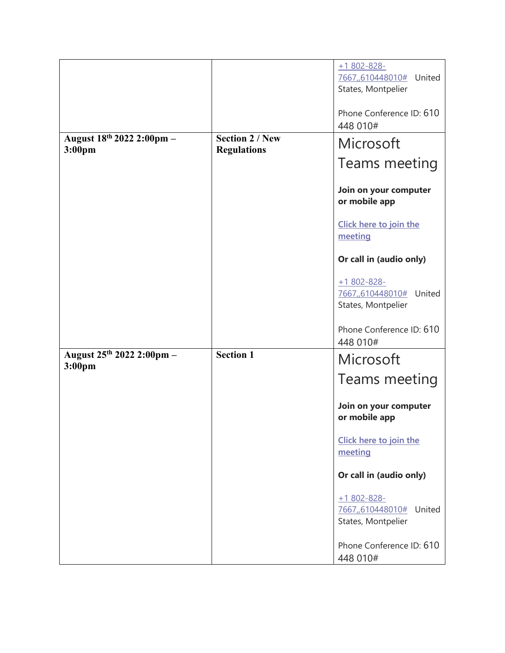|                                                 |                                              | $+1802 - 828 -$<br>7667,610448010# United<br>States, Montpelier    |
|-------------------------------------------------|----------------------------------------------|--------------------------------------------------------------------|
|                                                 |                                              | Phone Conference ID: 610<br>448 010#                               |
| August 18th 2022 2:00pm -<br>3:00 <sub>pm</sub> | <b>Section 2 / New</b><br><b>Regulations</b> | Microsoft                                                          |
|                                                 |                                              | Teams meeting                                                      |
|                                                 |                                              | Join on your computer<br>or mobile app                             |
|                                                 |                                              | Click here to join the<br>meeting                                  |
|                                                 |                                              | Or call in (audio only)                                            |
|                                                 |                                              | $+1802 - 828 -$<br>7667,610448010# United<br>States, Montpelier    |
|                                                 |                                              | Phone Conference ID: 610<br>448 010#                               |
| August 25th 2022 2:00pm -<br>3:00pm             | <b>Section 1</b>                             | Microsoft                                                          |
|                                                 |                                              | Teams meeting                                                      |
|                                                 |                                              | Join on your computer<br>or mobile app                             |
|                                                 |                                              | Click here to join the<br>meeting                                  |
|                                                 |                                              | Or call in (audio only)                                            |
|                                                 |                                              | $+1802 - 828 -$<br>7667,610448010#<br>United<br>States, Montpelier |
|                                                 |                                              | Phone Conference ID: 610<br>448 010#                               |